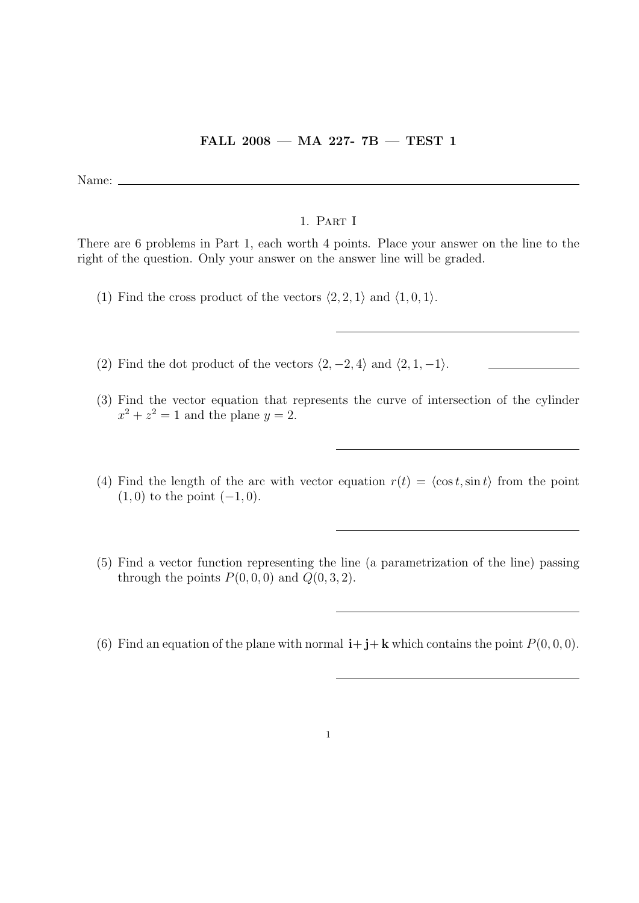## FALL 2008 — MA 227- 7B — TEST 1

Name:  $\equiv$ 

## 1. Part I

There are 6 problems in Part 1, each worth 4 points. Place your answer on the line to the right of the question. Only your answer on the answer line will be graded.

- (1) Find the cross product of the vectors  $\langle 2, 2, 1 \rangle$  and  $\langle 1, 0, 1 \rangle$ .
- (2) Find the dot product of the vectors  $\langle 2, -2, 4 \rangle$  and  $\langle 2, 1, -1 \rangle$ .
- (3) Find the vector equation that represents the curve of intersection of the cylinder  $x^2 + z^2 = 1$  and the plane  $y = 2$ .
- (4) Find the length of the arc with vector equation  $r(t) = \langle \cos t, \sin t \rangle$  from the point  $(1, 0)$  to the point  $(-1, 0)$ .
- (5) Find a vector function representing the line (a parametrization of the line) passing through the points  $P(0, 0, 0)$  and  $Q(0, 3, 2)$ .
- (6) Find an equation of the plane with normal  $\mathbf{i} + \mathbf{j} + \mathbf{k}$  which contains the point  $P(0, 0, 0)$ .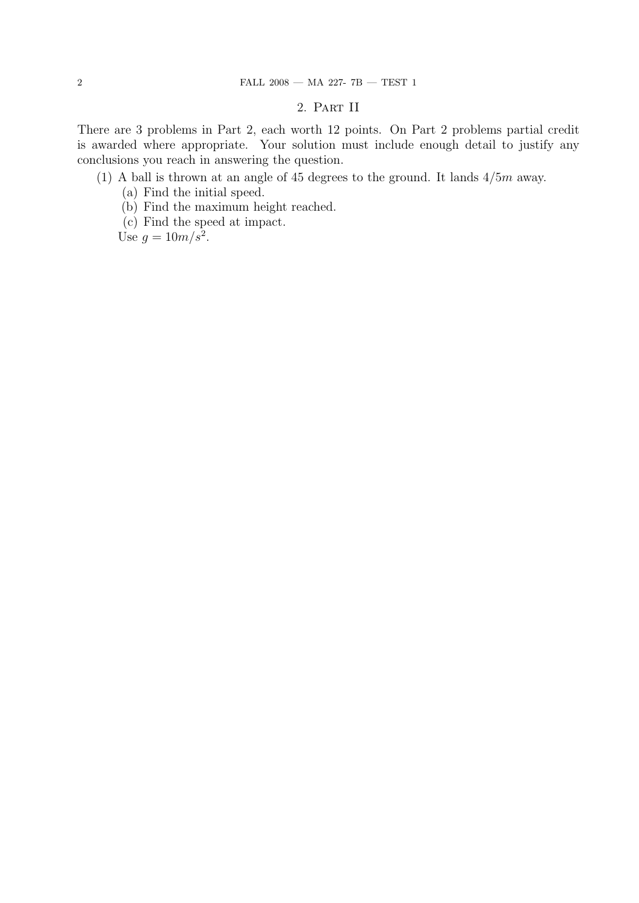## 2. Part II

There are 3 problems in Part 2, each worth 12 points. On Part 2 problems partial credit is awarded where appropriate. Your solution must include enough detail to justify any conclusions you reach in answering the question.

## (1) A ball is thrown at an angle of 45 degrees to the ground. It lands  $4/5m$  away.

- (a) Find the initial speed.
- (b) Find the maximum height reached.
- (c) Find the speed at impact.

Use  $g = 10m/s^2$ .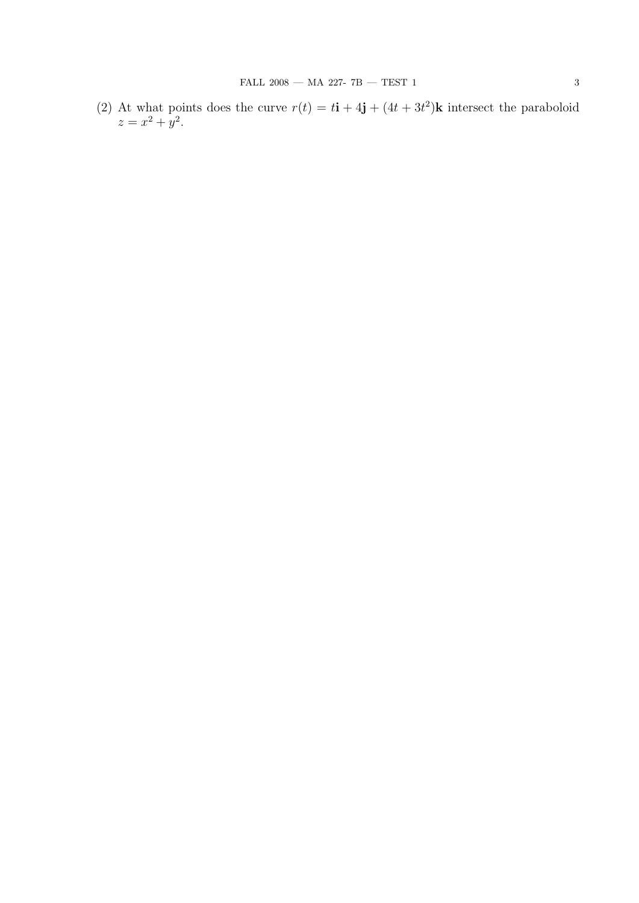(2) At what points does the curve  $r(t) = t\mathbf{i} + 4\mathbf{j} + (4t + 3t^2)\mathbf{k}$  intersect the paraboloid  $z = x^2 + y^2$ .